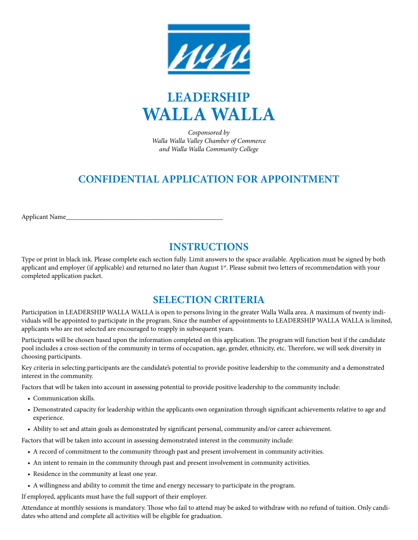



*Cosponsored by Walla Walla Valley Chamber of Commerce and Walla Walla Community College*

# **CONFIDENTIAL APPLICATION FOR APPOINTMENT**

Applicant Name\_\_

# **INSTRUCTIONS**

Type or print in black ink. Please complete each section fully. Limit answers to the space available. Application must be signed by both applicant and employer (if applicable) and returned no later than August 1<sup>st</sup>. Please submit two letters of recommendation with your completed application packet.

# **SELECTION CRITERIA**

Participation in LEADERSHIP WALLA WALLA is open to persons living in the greater Walla Walla area. A maximum of twenty individuals will be appointed to participate in the program. Since the number of appointments to LEADERSHIP WALLA WALLA is limited, applicants who are not selected are encouraged to reapply in subsequent years.

Participants will be chosen based upon the information completed on this application. The program will function best if the candidate pool includes a cross-section of the community in terms of occupation, age, gender, ethnicity, etc. Therefore, we will seek diversity in choosing participants.

Key criteria in selecting participants are the candidate's potential to provide positive leadership to the community and a demonstrated interest in the community.

Factors that will be taken into account in assessing potential to provide positive leadership to the community include:

- Communication skills.
- Demonstrated capacity for leadership within the applicants own organization through significant achievements relative to age and experience.
- Ability to set and attain goals as demonstrated by significant personal, community and/or career achievement.

Factors that will be taken into account in assessing demonstrated interest in the community include:

- A record of commitment to the community through past and present involvement in community activities.
- An intent to remain in the community through past and present involvement in community activities.
- Residence in the community at least one year.
- A willingness and ability to commit the time and energy necessary to participate in the program.

If employed, applicants must have the full support of their employer.

Attendance at monthly sessions is mandatory. Those who fail to attend may be asked to withdraw with no refund of tuition. Only candidates who attend and complete all activities will be eligible for graduation.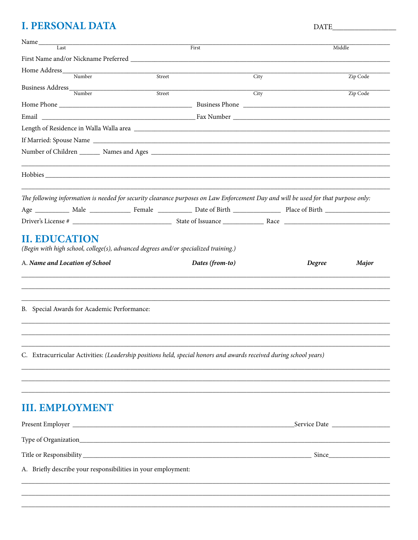# **I. PERSONAL DATA**

| Name_<br>Last                                                                                                                      | First  |      | Middle   |
|------------------------------------------------------------------------------------------------------------------------------------|--------|------|----------|
|                                                                                                                                    |        |      |          |
| Home Address Number                                                                                                                |        |      |          |
|                                                                                                                                    | Street | City | Zip Code |
| Business Address Mumber                                                                                                            | Street | City | Zip Code |
|                                                                                                                                    |        |      |          |
|                                                                                                                                    |        |      |          |
|                                                                                                                                    |        |      |          |
|                                                                                                                                    |        |      |          |
|                                                                                                                                    |        |      |          |
|                                                                                                                                    |        |      |          |
| The following information is needed for security clearance purposes on Law Enforcement Day and will be used for that purpose only: |        |      |          |
|                                                                                                                                    |        |      |          |
|                                                                                                                                    |        |      |          |
|                                                                                                                                    |        |      |          |
| B. Special Awards for Academic Performance:                                                                                        |        |      |          |
| C. Extracurricular Activities: (Leadership positions held, special honors and awards received during school years)                 |        |      |          |
|                                                                                                                                    |        |      |          |
| <b>III. EMPLOYMENT</b>                                                                                                             |        |      |          |
|                                                                                                                                    |        |      |          |
|                                                                                                                                    |        |      |          |
|                                                                                                                                    |        |      |          |
| A. Briefly describe your responsibilities in your employment:                                                                      |        |      |          |
|                                                                                                                                    |        |      |          |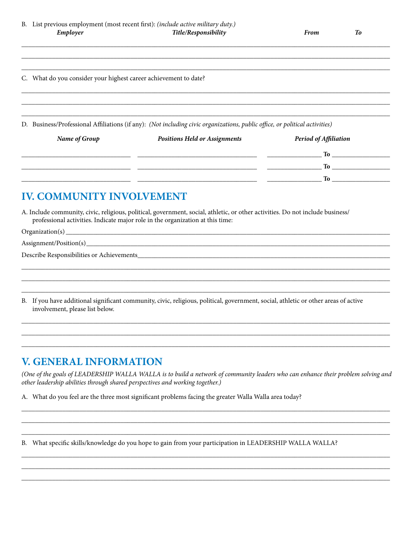To

#### C. What do you consider your highest career achievement to date?

D. Business/Professional Affiliations (if any): (Not including civic organizations, public office, or political activities)

| <b>Name of Group</b> | <b>Positions Held or Assignments</b> | <b>Period of Affiliation</b> |
|----------------------|--------------------------------------|------------------------------|
|                      |                                      | To                           |
|                      |                                      | ገሪ                           |
|                      |                                      | ፐል                           |

## **IV. COMMUNITY INVOLVEMENT**

A. Include community, civic, religious, political, government, social, athletic, or other activities. Do not include business/ professional activities. Indicate major role in the organization at this time:

 $Organization(s)$ <sub>\_\_\_</sub>

Describe Responsibilities or Achievements

B. If you have additional significant community, civic, religious, political, government, social, athletic or other areas of active involvement, please list below.

### **V. GENERAL INFORMATION**

(One of the goals of LEADERSHIP WALLA WALLA is to build a network of community leaders who can enhance their problem solving and other leadership abilities through shared perspectives and working together.)

A. What do you feel are the three most significant problems facing the greater Walla Walla area today?

B. What specific skills/knowledge do you hope to gain from your participation in LEADERSHIP WALLA WALLA?